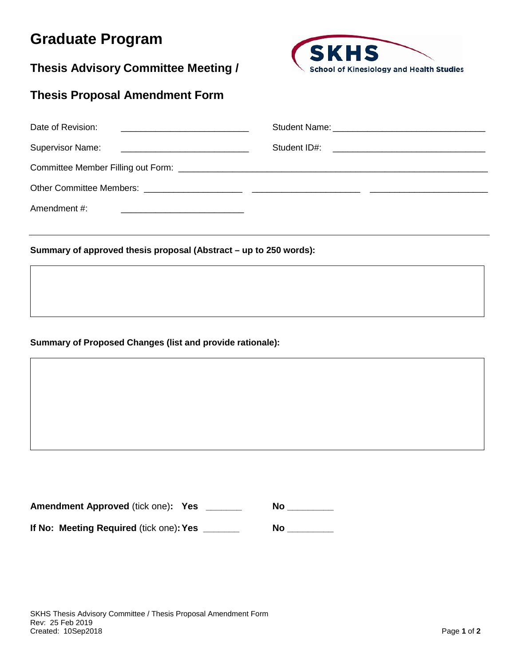## **Graduate Program**

**Thesis Advisory Committee Meeting /**



## **Thesis Proposal Amendment Form**

| Date of Revision: |  |
|-------------------|--|
|                   |  |
|                   |  |
|                   |  |
| Amendment #:      |  |

## **Summary of approved thesis proposal (Abstract – up to 250 words):**

## **Summary of Proposed Changes (list and provide rationale):**

**Amendment Approved** (tick one)**: Yes \_\_\_\_\_\_\_ No \_\_\_\_\_\_\_\_\_ If No: Meeting Required** (tick one)**:Yes \_\_\_\_\_\_\_ No \_\_\_\_\_\_\_\_\_**